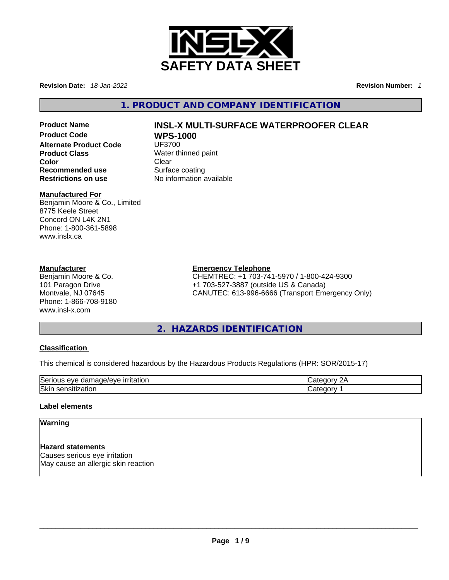

**Revision Date:** *18-Jan-2022* **Revision Number:** *1*

**1. PRODUCT AND COMPANY IDENTIFICATION** 

**Alternate Product Code**<br>Product Class **Product Class Water thinned paint**<br> **Clear** Clear **Recommended use Example 18 Surface coating<br>
<b>Restrictions on use** No information a

# **Color** Clear

**Manufactured For**

Benjamin Moore & Co., Limited 8775 Keele Street Concord ON L4K 2N1 Phone: 1-800-361-5898 www.inslx.ca

### **Manufacturer**

Benjamin Moore & Co. 101 Paragon Drive Montvale, NJ 07645 Phone: 1-866-708-9180 www.insl-x.com

# **Product Name INSL-X MULTI-SURFACE WATERPROOFER CLEAR WPS-1000**<br>UF3700

**Restrictions on use** No information available

**Emergency Telephone** CHEMTREC: +1 703-741-5970 / 1-800-424-9300 +1 703-527-3887 (outside US & Canada) CANUTEC: 613-996-6666 (Transport Emergency Only)

# **2. HAZARDS IDENTIFICATION**

### **Classification**

This chemical is considered hazardous by the Hazardous Products Regulations (HPR: SOR/2015-17)

| Se.<br>$1 - 1 -$<br>`or<br>Q <sub>1</sub> Q <sub>2</sub><br>π<br>ation<br>۱۳۷۴<br>بے ر<br>ы<br>'~ | - 1 |
|---------------------------------------------------------------------------------------------------|-----|
| Skir<br>ιю<br>$-$<br>`'                                                                           |     |

### **Label elements**

### **Warning**

**Hazard statements** Causes serious eye irritation May cause an allergic skin reaction<br> $\blacksquare$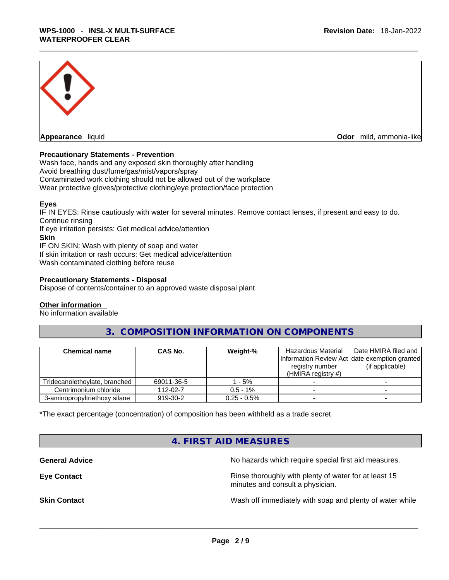

**Appearance** liquid **Odor** mild, ammonia-like

#### **Precautionary Statements - Prevention**

Wash face, hands and any exposed skin thoroughly after handling Avoid breathing dust/fume/gas/mist/vapors/spray Contaminated work clothing should not be allowed out of the workplace Wear protective gloves/protective clothing/eye protection/face protection

#### **Eyes**

IF IN EYES: Rinse cautiously with water forseveral minutes. Remove contact lenses, if present and easy to do. Continue rinsing

If eye irritation persists: Get medical advice/attention

**Skin**

IF ON SKIN: Wash with plenty of soap and water If skin irritation or rash occurs: Get medical advice/attention Wash contaminated clothing before reuse

#### **Precautionary Statements - Disposal**

Dispose of contents/container to an approved waste disposal plant

#### **Other information**

No information available

**3. COMPOSITION INFORMATION ON COMPONENTS** 

| <b>Chemical name</b>            | <b>CAS No.</b> | Weight-%       | Hazardous Material<br>Information Review Act Idate exemption granted<br>registry number<br>(HMIRA registry $#$ ) | Date HMIRA filed and<br>(if applicable) |
|---------------------------------|----------------|----------------|------------------------------------------------------------------------------------------------------------------|-----------------------------------------|
| Tridecanolethoylate, branched I | 69011-36-5     | - 5%           |                                                                                                                  |                                         |
| Centrimonium chloride           | 112-02-7       | $0.5 - 1\%$    |                                                                                                                  |                                         |
| 3-aminopropyltriethoxy silane   | 919-30-2       | $0.25 - 0.5\%$ |                                                                                                                  |                                         |

\*The exact percentage (concentration) of composition has been withheld as a trade secret

**4. FIRST AID MEASURES** 

**General Advice No hazards which require special first aid measures.** No hazards which require special first aid measures.

**Eye Contact <b>Ringell Example 20** Rinse thoroughly with plenty of water for at least 15 minutes and consult a physician.

**Skin Contact Number 2012 Wash off immediately with soap and plenty of water while**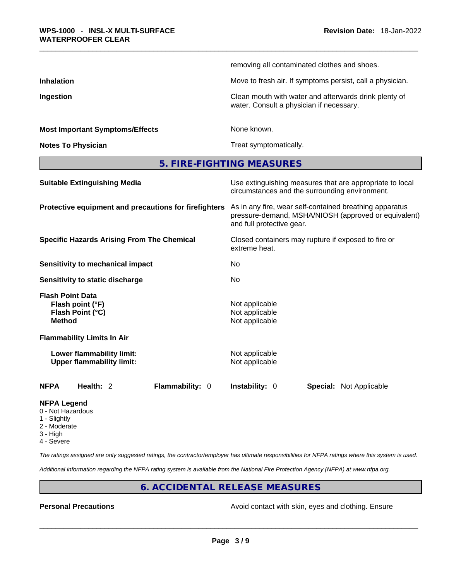| <b>Most Important Symptoms/Effects</b> | None known.                                                                                       |
|----------------------------------------|---------------------------------------------------------------------------------------------------|
| Ingestion                              | Clean mouth with water and afterwards drink plenty of<br>water. Consult a physician if necessary. |
| <b>Inhalation</b>                      | Move to fresh air. If symptoms persist, call a physician.                                         |
|                                        | removing all contaminated clothes and shoes.                                                      |

**Notes To Physician Treat symptomatically.** 

**5. FIRE-FIGHTING MEASURES** 

| <b>Suitable Extinguishing Media</b>                                              | Use extinguishing measures that are appropriate to local<br>circumstances and the surrounding environment.                                   |  |  |
|----------------------------------------------------------------------------------|----------------------------------------------------------------------------------------------------------------------------------------------|--|--|
| Protective equipment and precautions for firefighters                            | As in any fire, wear self-contained breathing apparatus<br>pressure-demand, MSHA/NIOSH (approved or equivalent)<br>and full protective gear. |  |  |
| <b>Specific Hazards Arising From The Chemical</b>                                | Closed containers may rupture if exposed to fire or<br>extreme heat.                                                                         |  |  |
| Sensitivity to mechanical impact                                                 | No                                                                                                                                           |  |  |
| Sensitivity to static discharge                                                  | No                                                                                                                                           |  |  |
| <b>Flash Point Data</b><br>Flash point (°F)<br>Flash Point (°C)<br><b>Method</b> | Not applicable<br>Not applicable<br>Not applicable                                                                                           |  |  |
| <b>Flammability Limits In Air</b>                                                |                                                                                                                                              |  |  |
| Lower flammability limit:<br><b>Upper flammability limit:</b>                    | Not applicable<br>Not applicable                                                                                                             |  |  |
| <b>NFPA</b><br>Flammability: 0<br>Health: 2                                      | <b>Instability: 0</b><br><b>Special: Not Applicable</b>                                                                                      |  |  |
|                                                                                  |                                                                                                                                              |  |  |

### **NFPA Legend**

- 0 Not Hazardous
- 1 Slightly
- 2 Moderate
- 3 High
- 4 Severe

*The ratings assigned are only suggested ratings, the contractor/employer has ultimate responsibilities for NFPA ratings where this system is used.* 

*Additional information regarding the NFPA rating system is available from the National Fire Protection Agency (NFPA) at www.nfpa.org.* 

# **6. ACCIDENTAL RELEASE MEASURES**

**Personal Precautions Avoid contact with skin, eyes and clothing. Ensure Personal Precautions**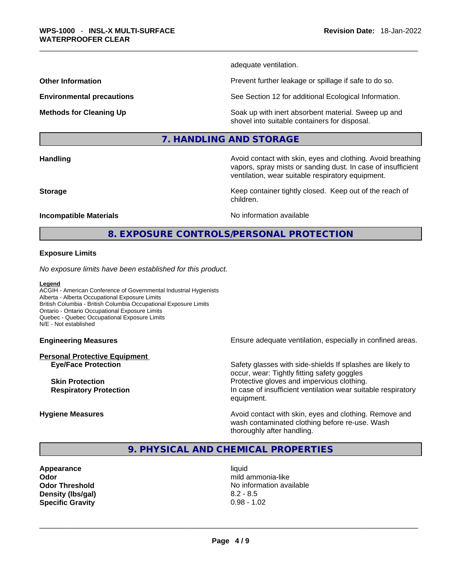adequate ventilation.

**Other Information Discription Prevent further leakage or spillage if safe to do so.** 

**Environmental precautions** See Section 12 for additional Ecological Information.

**Methods for Cleaning Up Soak up with inert absorbent material. Sweep up and** shovel into suitable containers for disposal.

vapors, spray mists or sanding dust. In case of insufficient

ventilation, wear suitable respiratory equipment.

#### **7. HANDLING AND STORAGE**

**Handling <b>Avoid** contact with skin, eyes and clothing. Avoid breathing and state of the sking of the sking state of the sking state of the sking state of the sking state of the sking state of the sking state of the sking

**Storage Keep container tightly closed. Keep out of the reach of Keep Keep container tightly closed. Keep out of the reach of** 

#### **Incompatible Materials No information available No** information available

# **8. EXPOSURE CONTROLS/PERSONAL PROTECTION**

children.

#### **Exposure Limits**

*No exposure limits have been established for this product.* 

#### **Legend**

ACGIH - American Conference of Governmental Industrial Hygienists Alberta - Alberta Occupational Exposure Limits British Columbia - British Columbia Occupational Exposure Limits Ontario - Ontario Occupational Exposure Limits Quebec - Quebec Occupational Exposure Limits N/E - Not established

**Personal Protective Equipment**

**Engineering Measures Ensure adequate ventilation, especially in confined areas.** 

**Eye/Face Protection** Safety glasses with side-shields If splashes are likely to Safety glasses with side-shields If splashes are likely to occur, wear: Tightly fitting safety goggles **Skin Protection Protection Protective gloves and impervious clothing. Respiratory Protection In case of insufficient ventilation wear suitable respiratory** equipment.

**Hygiene Measures Avoid contact with skin, eyes and clothing. Remove and Avoid contact with skin, eyes and clothing. Remove and Avoid contact with skin, eyes and clothing. Remove and** wash contaminated clothing before re-use. Wash thoroughly after handling.

### **9. PHYSICAL AND CHEMICAL PROPERTIES**

**Appearance** liquid **Density (lbs/gal)** 8.2 - 8.5

**Odor only and the contract of the contract of the contract of the contract of the contract of the contract of the contract of the contract of the contract of the contract of the contract of the contract of the contract Odor Threshold** No information available **Specific Gravity** 0.98 - 1.02 \_\_\_\_\_\_\_\_\_\_\_\_\_\_\_\_\_\_\_\_\_\_\_\_\_\_\_\_\_\_\_\_\_\_\_\_\_\_\_\_\_\_\_\_\_\_\_\_\_\_\_\_\_\_\_\_\_\_\_\_\_\_\_\_\_\_\_\_\_\_\_\_\_\_\_\_\_\_\_\_\_\_\_\_\_\_\_\_\_\_\_\_\_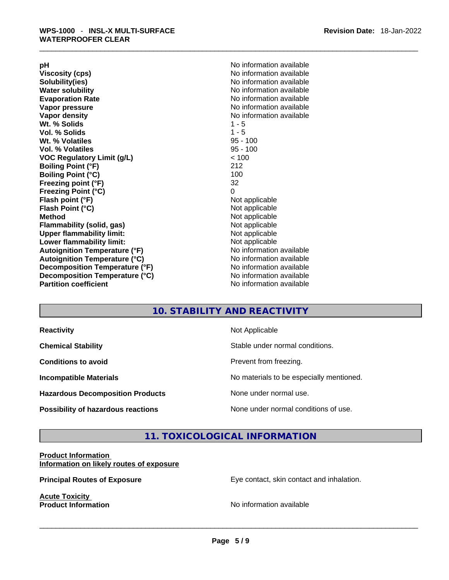**Solubility(ies)** No information available in the solution of the solution of the solution available in the solution of the solution of the solution of the solution of the solution of the solution of the solution of the so **Water solubility No information available No information available Evaporation Rate No information available No information available Vapor pressure**  No information available **No information** available **Vapor density No information available No information available Wt. % Solids** 1 - 5 **Vol. % Solids Wt. % Volatiles** 95 - 100 **Vol. % Volatiles** 95 - 100 **VOC Regulatory Limit (g/L)** < 100 **Boiling Point (°F)** 212 **Boiling Point (°C)** 100 **Freezing point (°F)** 32 **Freezing Point (°C)** 0 **Flash point (°F)**<br> **Flash Point (°C)**<br> **Flash Point (°C)**<br> **C Flash Point (°C) Method** Not applicable **Flammability (solid, gas)**<br> **Commability limit:**<br>
Upper flammability limit:<br>
Not applicable **Upper flammability limit:**<br> **Lower flammability limit:**<br>
Not applicable<br>
Not applicable **Lower flammability limit:**<br> **Autoignition Temperature (°F)** Not applicable available and the Mustafable and Mustafable and Mustafable and Mu **Autoignition Temperature (°F)**<br> **Autoignition Temperature (°C)** No information available **Autoignition Temperature (°C) Decomposition Temperature (°F)** No information available **Decomposition Temperature (°C)**<br> **Partition coefficient**<br> **Partition coefficient**<br> **No** information available

**pH pH 1 Viscosity (cps) Viscosity (cps) No information available No information available** 

# **10. STABILITY AND REACTIVITY**

| <b>Reactivity</b>                         | Not Applicable                           |
|-------------------------------------------|------------------------------------------|
| <b>Chemical Stability</b>                 | Stable under normal conditions.          |
| <b>Conditions to avoid</b>                | Prevent from freezing.                   |
| <b>Incompatible Materials</b>             | No materials to be especially mentioned. |
| <b>Hazardous Decomposition Products</b>   | None under normal use.                   |
| <b>Possibility of hazardous reactions</b> | None under normal conditions of use.     |

# **11. TOXICOLOGICAL INFORMATION**

#### **Product Information Information on likely routes of exposure**

**Acute Toxicity** 

**Principal Routes of Exposure Exposure** Eye contact, skin contact and inhalation.

**Product Information** No information available \_\_\_\_\_\_\_\_\_\_\_\_\_\_\_\_\_\_\_\_\_\_\_\_\_\_\_\_\_\_\_\_\_\_\_\_\_\_\_\_\_\_\_\_\_\_\_\_\_\_\_\_\_\_\_\_\_\_\_\_\_\_\_\_\_\_\_\_\_\_\_\_\_\_\_\_\_\_\_\_\_\_\_\_\_\_\_\_\_\_\_\_\_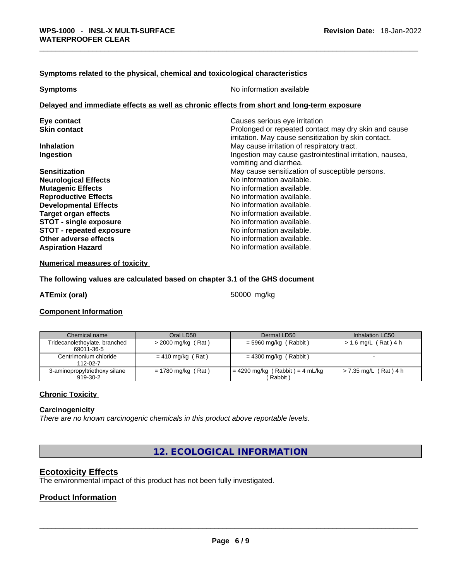#### **<u>Symptoms related to the physical, chemical and toxicological characteristics</u>**

**No information available** 

## **Delayed and immediate effects as well as chronic effects from short and long-term exposure**

| Eye contact                     | Causes serious eye irritation                            |
|---------------------------------|----------------------------------------------------------|
| <b>Skin contact</b>             | Prolonged or repeated contact may dry skin and cause     |
|                                 | irritation. May cause sensitization by skin contact.     |
| <b>Inhalation</b>               | May cause irritation of respiratory tract.               |
| Ingestion                       | Ingestion may cause gastrointestinal irritation, nausea, |
|                                 | vomiting and diarrhea.                                   |
| <b>Sensitization</b>            | May cause sensitization of susceptible persons.          |
| <b>Neurological Effects</b>     | No information available.                                |
| <b>Mutagenic Effects</b>        | No information available.                                |
| <b>Reproductive Effects</b>     | No information available.                                |
| <b>Developmental Effects</b>    | No information available.                                |
| <b>Target organ effects</b>     | No information available.                                |
| <b>STOT - single exposure</b>   | No information available.                                |
| <b>STOT - repeated exposure</b> | No information available.                                |
| Other adverse effects           | No information available.                                |
| <b>Aspiration Hazard</b>        | No information available.                                |
|                                 |                                                          |

#### **Numerical measures of toxicity**

#### **The following values are calculated based on chapter 3.1 of the GHS document**

**ATEmix (oral)** 50000 mg/kg

#### **Component Information**

| Chemical name                               | Oral LD50            | Dermal LD50                                  | Inhalation LC50        |
|---------------------------------------------|----------------------|----------------------------------------------|------------------------|
| Tridecanolethoylate, branched<br>69011-36-5 | $>$ 2000 mg/kg (Rat) | $=$ 5960 mg/kg (Rabbit)                      | $> 1.6$ mg/L (Rat) 4 h |
| Centrimonium chloride<br>112-02-7           | $= 410$ mg/kg (Rat)  | $= 4300$ mg/kg (Rabbit)                      |                        |
| 3-aminopropyltriethoxy silane<br>919-30-2   | $= 1780$ mg/kg (Rat) | $= 4290$ mg/kg (Rabbit) = 4 mL/kg<br>Rabbit) | > 7.35 mg/L (Rat) 4 h  |

#### **Chronic Toxicity**

#### **Carcinogenicity**

*There are no known carcinogenic chemicals in this product above reportable levels.* 

**12. ECOLOGICAL INFORMATION** 

#### **Ecotoxicity Effects**

The environmental impact of this product has not been fully investigated.

#### **Product Information**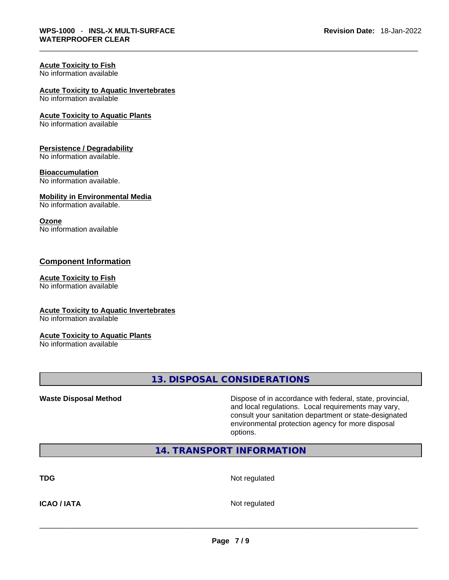# **Acute Toxicity to Fish**

No information available

# **Acute Toxicity to Aquatic Invertebrates**

No information available

#### **Acute Toxicity to Aquatic Plants**

No information available

#### **Persistence / Degradability**

No information available.

#### **Bioaccumulation**

No information available.

#### **Mobility in Environmental Media**

No information available.

#### **Ozone**

No information available

### **Component Information**

#### **Acute Toxicity to Fish**

No information available

### **Acute Toxicity to Aquatic Invertebrates**

No information available

#### **Acute Toxicity to Aquatic Plants**

No information available

# **13. DISPOSAL CONSIDERATIONS**

**Waste Disposal Method** Dispose of in accordance with federal, state, provincial, and local regulations. Local requirements may vary, consult your sanitation department or state-designated environmental protection agency for more disposal options.

# **14. TRANSPORT INFORMATION**

**TDG** Not regulated

**ICAO / IATA** Not regulated \_\_\_\_\_\_\_\_\_\_\_\_\_\_\_\_\_\_\_\_\_\_\_\_\_\_\_\_\_\_\_\_\_\_\_\_\_\_\_\_\_\_\_\_\_\_\_\_\_\_\_\_\_\_\_\_\_\_\_\_\_\_\_\_\_\_\_\_\_\_\_\_\_\_\_\_\_\_\_\_\_\_\_\_\_\_\_\_\_\_\_\_\_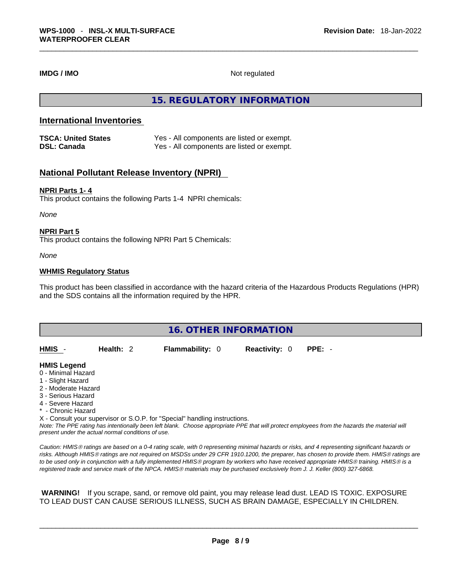**IMDG / IMO** Not regulated

### **15. REGULATORY INFORMATION**

### **International Inventories**

| <b>TSCA: United States</b> | Yes - All components are listed or exempt. |
|----------------------------|--------------------------------------------|
| <b>DSL: Canada</b>         | Yes - All components are listed or exempt. |

### **National Pollutant Release Inventory (NPRI)**

#### **NPRI Parts 1- 4**

This product contains the following Parts 1-4 NPRI chemicals:

*None*

#### **NPRI Part 5**

This product contains the following NPRI Part 5 Chemicals:

*None*

#### **WHMIS Regulatory Status**

This product has been classified in accordance with the hazard criteria of the Hazardous Products Regulations (HPR) and the SDS contains all the information required by the HPR.

| <b>16. OTHER INFORMATION</b>                                                                                                                                                                                                                                                              |             |  |                        |  |                      |                                                                                                                                               |
|-------------------------------------------------------------------------------------------------------------------------------------------------------------------------------------------------------------------------------------------------------------------------------------------|-------------|--|------------------------|--|----------------------|-----------------------------------------------------------------------------------------------------------------------------------------------|
| HMIS -                                                                                                                                                                                                                                                                                    | Health: $2$ |  | <b>Flammability: 0</b> |  | <b>Reactivity: 0</b> | $PPE: -$                                                                                                                                      |
| <b>HMIS Legend</b><br>0 - Minimal Hazard<br>1 - Slight Hazard<br>2 - Moderate Hazard<br>3 - Serious Hazard<br>4 - Severe Hazard<br>* - Chronic Hazard<br>X - Consult your supervisor or S.O.P. for "Special" handling instructions.<br>present under the actual normal conditions of use. |             |  |                        |  |                      | Note: The PPE rating has intentionally been left blank. Choose appropriate PPE that will protect employees from the hazards the material will |

*Caution: HMISÒ ratings are based on a 0-4 rating scale, with 0 representing minimal hazards or risks, and 4 representing significant hazards or risks. Although HMISÒ ratings are not required on MSDSs under 29 CFR 1910.1200, the preparer, has chosen to provide them. HMISÒ ratings are to be used only in conjunction with a fully implemented HMISÒ program by workers who have received appropriate HMISÒ training. HMISÒ is a registered trade and service mark of the NPCA. HMISÒ materials may be purchased exclusively from J. J. Keller (800) 327-6868.* 

 **WARNING!** If you scrape, sand, or remove old paint, you may release lead dust. LEAD IS TOXIC. EXPOSURE TO LEAD DUST CAN CAUSE SERIOUS ILLNESS, SUCH AS BRAIN DAMAGE, ESPECIALLY IN CHILDREN.